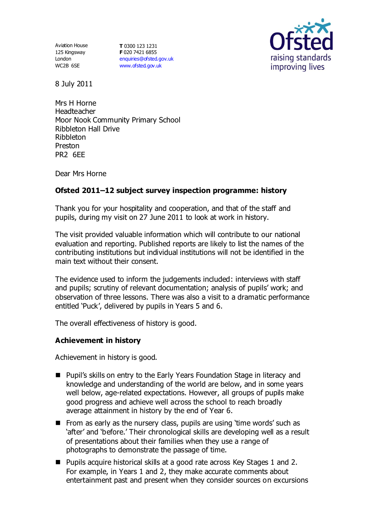Aviation House 125 Kingsway London WC2B 6SE

**T** 0300 123 1231 **F** 020 7421 6855 [enquiries@ofsted.gov.uk](mailto:enquiries@ofsted.gov.uk) [www.ofsted.gov.uk](http://www.ofsted.gov.uk/)



8 July 2011

Mrs H Horne Headteacher Moor Nook Community Primary School Ribbleton Hall Drive Ribbleton Preston PR<sub>2</sub> 6FF

Dear Mrs Horne

## **Ofsted 2011–12 subject survey inspection programme: history**

Thank you for your hospitality and cooperation, and that of the staff and pupils, during my visit on 27 June 2011 to look at work in history.

The visit provided valuable information which will contribute to our national evaluation and reporting. Published reports are likely to list the names of the contributing institutions but individual institutions will not be identified in the main text without their consent.

The evidence used to inform the judgements included: interviews with staff and pupils; scrutiny of relevant documentation; analysis of pupils' work; and observation of three lessons. There was also a visit to a dramatic performance entitled 'Puck', delivered by pupils in Years 5 and 6.

The overall effectiveness of history is good.

## **Achievement in history**

Achievement in history is good.

- **Pupil's skills on entry to the Early Years Foundation Stage in literacy and** knowledge and understanding of the world are below, and in some years well below, age-related expectations. However, all groups of pupils make good progress and achieve well across the school to reach broadly average attainment in history by the end of Year 6.
- From as early as the nursery class, pupils are using 'time words' such as 'after' and 'before.' Their chronological skills are developing well as a result of presentations about their families when they use a range of photographs to demonstrate the passage of time.
- Pupils acquire historical skills at a good rate across Key Stages 1 and 2. For example, in Years 1 and 2, they make accurate comments about entertainment past and present when they consider sources on excursions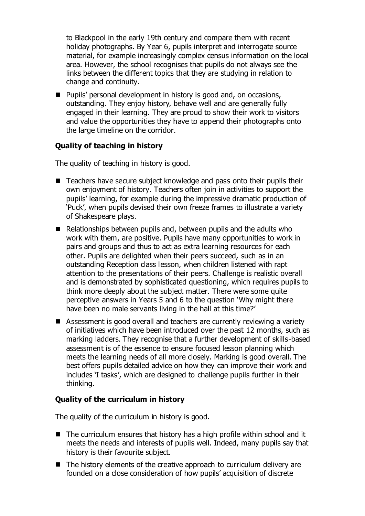to Blackpool in the early 19th century and compare them with recent holiday photographs. By Year 6, pupils interpret and interrogate source material, for example increasingly complex census information on the local area. However, the school recognises that pupils do not always see the links between the different topics that they are studying in relation to change and continuity.

■ Pupils' personal development in history is good and, on occasions, outstanding. They enjoy history, behave well and are generally fully engaged in their learning. They are proud to show their work to visitors and value the opportunities they have to append their photographs onto the large timeline on the corridor.

# **Quality of teaching in history**

The quality of teaching in history is good.

- Teachers have secure subject knowledge and pass onto their pupils their own enjoyment of history. Teachers often join in activities to support the pupils' learning, for example during the impressive dramatic production of 'Puck', when pupils devised their own freeze frames to illustrate a variety of Shakespeare plays.
- $\blacksquare$  Relationships between pupils and, between pupils and the adults who work with them, are positive. Pupils have many opportunities to work in pairs and groups and thus to act as extra learning resources for each other. Pupils are delighted when their peers succeed, such as in an outstanding Reception class lesson, when children listened with rapt attention to the presentations of their peers. Challenge is realistic overall and is demonstrated by sophisticated questioning, which requires pupils to think more deeply about the subject matter. There were some quite perceptive answers in Years 5 and 6 to the question 'Why might there have been no male servants living in the hall at this time?'
- Assessment is good overall and teachers are currently reviewing a variety of initiatives which have been introduced over the past 12 months, such as marking ladders. They recognise that a further development of skills-based assessment is of the essence to ensure focused lesson planning which meets the learning needs of all more closely. Marking is good overall. The best offers pupils detailed advice on how they can improve their work and includes 'I tasks', which are designed to challenge pupils further in their thinking.

## **Quality of the curriculum in history**

The quality of the curriculum in history is good.

- The curriculum ensures that history has a high profile within school and it meets the needs and interests of pupils well. Indeed, many pupils say that history is their favourite subject.
- $\blacksquare$  The history elements of the creative approach to curriculum delivery are founded on a close consideration of how pupils' acquisition of discrete